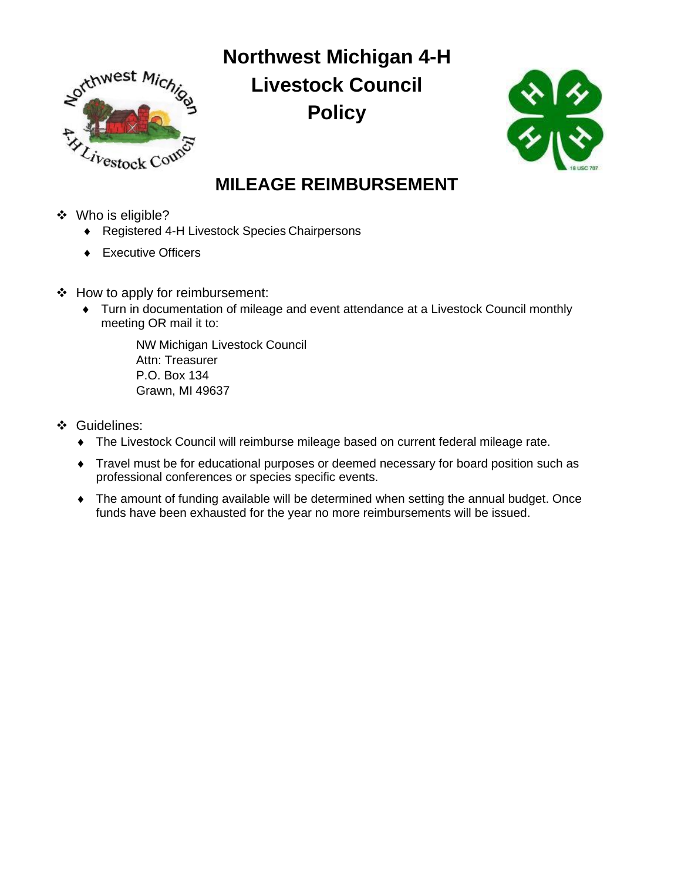

**Northwest Michigan 4-H Livestock Council Policy**



## **MILEAGE REIMBURSEMENT**

- ❖ Who is eligible?
	- ◆ Registered 4-H Livestock Species Chairpersons
	- ◆ Executive Officers
- ❖ How to apply for reimbursement:
	- Turn in documentation of mileage and event attendance at a Livestock Council monthly meeting OR mail it to:

NW Michigan Livestock Council Attn: Treasurer P.O. Box 134 Grawn, MI 49637

- ❖ Guidelines:
	- The Livestock Council will reimburse mileage based on current federal mileage rate.
	- Travel must be for educational purposes or deemed necessary for board position such as professional conferences or species specific events.
	- The amount of funding available will be determined when setting the annual budget. Once funds have been exhausted for the year no more reimbursements will be issued.